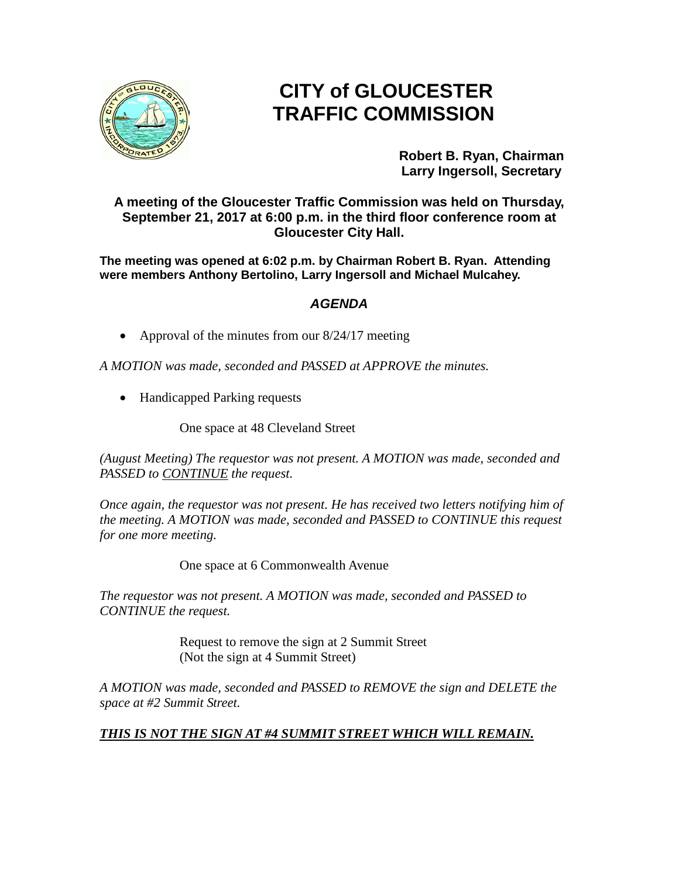

## **CITY of GLOUCESTER TRAFFIC COMMISSION**

**Robert B. Ryan, Chairman Larry Ingersoll, Secretary**

**A meeting of the Gloucester Traffic Commission was held on Thursday, September 21, 2017 at 6:00 p.m. in the third floor conference room at Gloucester City Hall.**

**The meeting was opened at 6:02 p.m. by Chairman Robert B. Ryan. Attending were members Anthony Bertolino, Larry Ingersoll and Michael Mulcahey.**

## *AGENDA*

• Approval of the minutes from our 8/24/17 meeting

*A MOTION was made, seconded and PASSED at APPROVE the minutes.*

• Handicapped Parking requests

One space at 48 Cleveland Street

*(August Meeting) The requestor was not present. A MOTION was made, seconded and PASSED to CONTINUE the request.*

*Once again, the requestor was not present. He has received two letters notifying him of the meeting. A MOTION was made, seconded and PASSED to CONTINUE this request for one more meeting.*

One space at 6 Commonwealth Avenue

*The requestor was not present. A MOTION was made, seconded and PASSED to CONTINUE the request.*

> Request to remove the sign at 2 Summit Street (Not the sign at 4 Summit Street)

*A MOTION was made, seconded and PASSED to REMOVE the sign and DELETE the space at #2 Summit Street.*

## *THIS IS NOT THE SIGN AT #4 SUMMIT STREET WHICH WILL REMAIN.*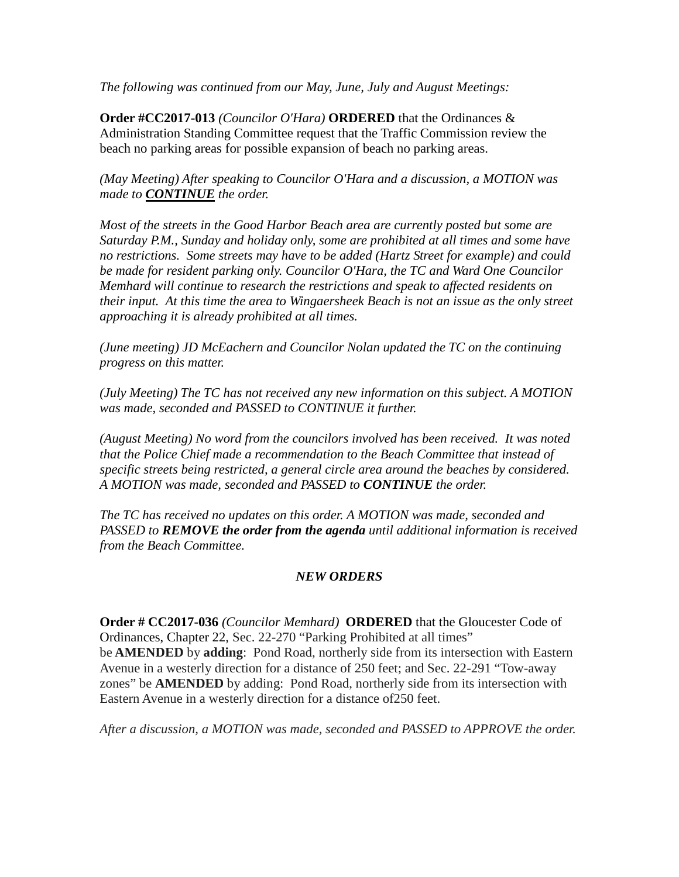*The following was continued from our May, June, July and August Meetings:*

**Order #CC2017-013** *(Councilor O'Hara)* **ORDERED** that the Ordinances & Administration Standing Committee request that the Traffic Commission review the beach no parking areas for possible expansion of beach no parking areas.

*(May Meeting) After speaking to Councilor O'Hara and a discussion, a MOTION was made to CONTINUE the order.*

*Most of the streets in the Good Harbor Beach area are currently posted but some are Saturday P.M., Sunday and holiday only, some are prohibited at all times and some have no restrictions. Some streets may have to be added (Hartz Street for example) and could be made for resident parking only. Councilor O'Hara, the TC and Ward One Councilor Memhard will continue to research the restrictions and speak to affected residents on their input. At this time the area to Wingaersheek Beach is not an issue as the only street approaching it is already prohibited at all times.* 

*(June meeting) JD McEachern and Councilor Nolan updated the TC on the continuing progress on this matter.* 

*(July Meeting) The TC has not received any new information on this subject. A MOTION was made, seconded and PASSED to CONTINUE it further.*

*(August Meeting) No word from the councilors involved has been received. It was noted that the Police Chief made a recommendation to the Beach Committee that instead of specific streets being restricted, a general circle area around the beaches by considered. A MOTION was made, seconded and PASSED to CONTINUE the order.*

*The TC has received no updates on this order. A MOTION was made, seconded and PASSED to REMOVE the order from the agenda until additional information is received from the Beach Committee.*

## *NEW ORDERS*

**Order # CC2017-036** *(Councilor Memhard)* **ORDERED** that the Gloucester Code of Ordinances, Chapter 22, Sec. 22-270 "Parking Prohibited at all times" be **AMENDED** by **adding**: Pond Road, northerly side from its intersection with Eastern Avenue in a westerly direction for a distance of 250 feet; and Sec. 22-291 "Tow-away zones" be **AMENDED** by adding: Pond Road, northerly side from its intersection with Eastern Avenue in a westerly direction for a distance of250 feet.

*After a discussion, a MOTION was made, seconded and PASSED to APPROVE the order.*